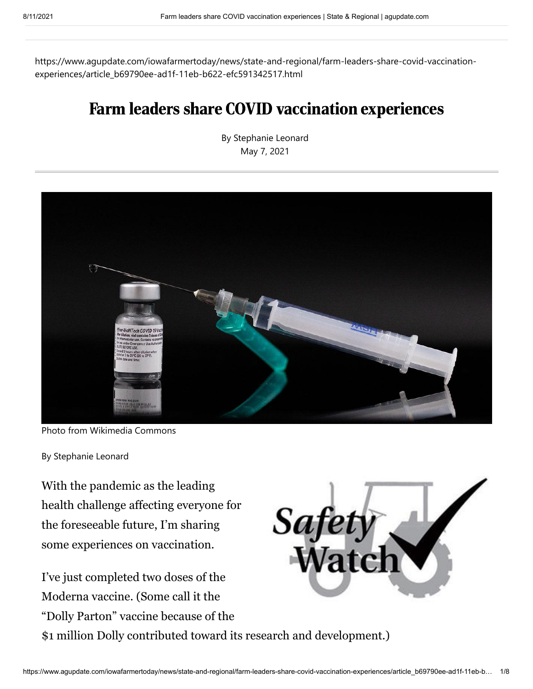https://www.agupdate.com/iowafarmertoday/news/state-and-regional/farm-leaders-share-covid-vaccinationexperiences/article\_b69790ee-ad1f-11eb-b622-efc591342517.html

# Farm leaders share COVID vaccination experiences

By Stephanie Leonard May 7, 2021



Photo from Wikimedia Commons

By Stephanie Leonard

With the pandemic as the leading health challenge affecting everyone for the foreseeable future, I'm sharing some experiences on vaccination.

I've just completed two doses of the Moderna vaccine. (Some call it the "Dolly Parton" vaccine because of the \$1 million Dolly contributed toward its research and development.)

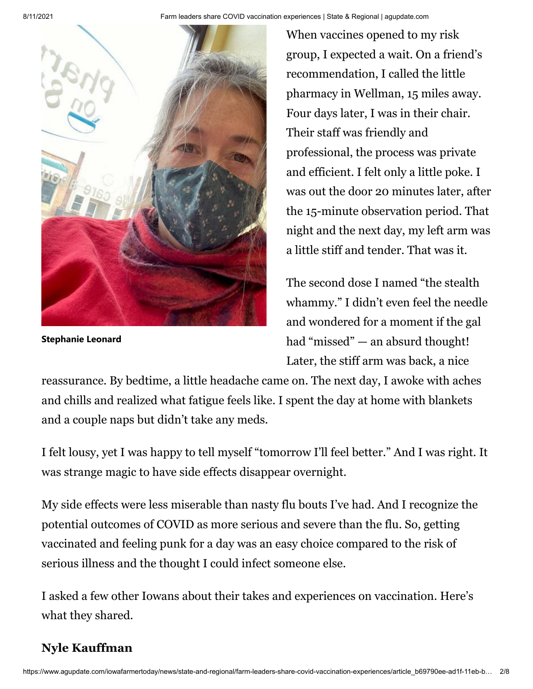8/11/2021 Farm leaders share COVID vaccination experiences | State & Regional | agupdate.com



**Stephanie Leonard**

When vaccines opened to my risk group, I expected a wait. On a friend's recommendation, I called the little pharmacy in Wellman, 15 miles away. Four days later, I was in their chair. Their staff was friendly and professional, the process was private and efficient. I felt only a little poke. I was out the door 20 minutes later, after the 15-minute observation period. That night and the next day, my left arm was a little stiff and tender. That was it.

The second dose I named "the stealth whammy." I didn't even feel the needle and wondered for a moment if the gal had "missed" — an absurd thought! Later, the stiff arm was back, a nice

reassurance. By bedtime, a little headache came on. The next day, I awoke with aches and chills and realized what fatigue feels like. I spent the day at home with blankets and a couple naps but didn't take any meds.

I felt lousy, yet I was happy to tell myself "tomorrow I'll feel better." And I was right. It was strange magic to have side effects disappear overnight.

My side effects were less miserable than nasty flu bouts I've had. And I recognize the potential outcomes of COVID as more serious and severe than the flu. So, getting vaccinated and feeling punk for a day was an easy choice compared to the risk of serious illness and the thought I could infect someone else.

I asked a few other Iowans about their takes and experiences on vaccination. Here's what they shared.

### **Nyle Kauffman**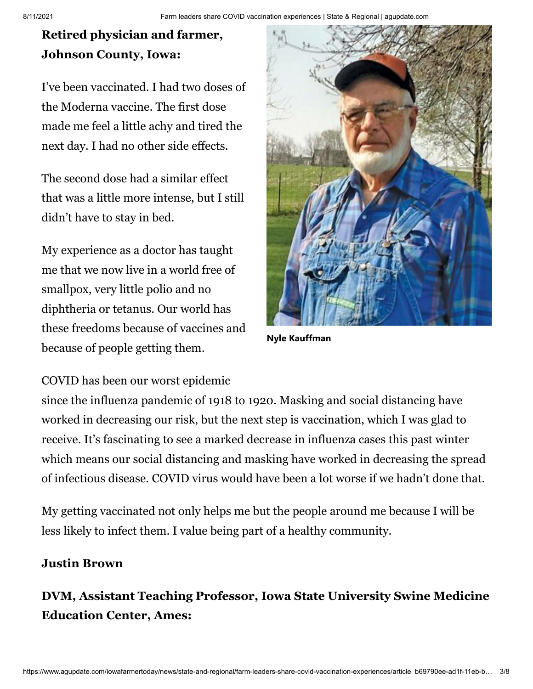## **Retired physician and farmer, Johnson County, Iowa:**

I've been vaccinated. I had two doses of the Moderna vaccine. The first dose made me feel a little achy and tired the next day. I had no other side effects.

The second dose had a similar effect that was a little more intense, but I still didn't have to stay in bed.

My experience as a doctor has taught me that we now live in a world free of smallpox, very little polio and no diphtheria or tetanus. Our world has these freedoms because of vaccines and because of people getting them.

COVID has been our worst epidemic

since the influenza pandemic of 1918 to 1920. Masking and social distancing have worked in decreasing our risk, but the next step is vaccination, which I was glad to receive. It's fascinating to see a marked decrease in influenza cases this past winter which means our social distancing and masking have worked in decreasing the spread of infectious disease. COVID virus would have been a lot worse if we hadn't done that.

My getting vaccinated not only helps me but the people around me because I will be less likely to infect them. I value being part of a healthy community.

#### **Justin Brown**

**DVM, Assistant Teaching Professor, Iowa State University Swine Medicine Education Center, Ames:**



**Nyle Kauffman**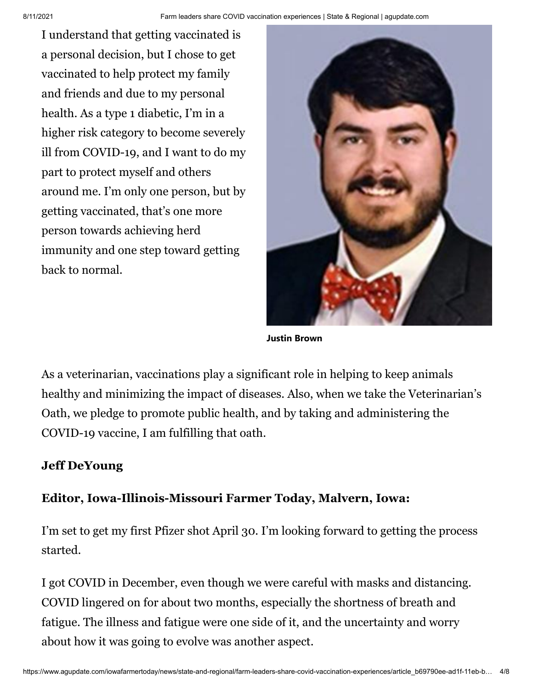I understand that getting vaccinated is a personal decision, but I chose to get vaccinated to help protect my family and friends and due to my personal health. As a type 1 diabetic, I'm in a higher risk category to become severely ill from COVID-19, and I want to do my part to protect myself and others around me. I'm only one person, but by getting vaccinated, that's one more person towards achieving herd immunity and one step toward getting back to normal.



**Justin Brown**

As a veterinarian, vaccinations play a significant role in helping to keep animals healthy and minimizing the impact of diseases. Also, when we take the Veterinarian's Oath, we pledge to promote public health, and by taking and administering the COVID-19 vaccine, I am fulfilling that oath.

#### **Jeff DeYoung**

#### **Editor, Iowa-Illinois-Missouri Farmer Today, Malvern, Iowa:**

I'm set to get my first Pfizer shot April 30. I'm looking forward to getting the process started.

I got COVID in December, even though we were careful with masks and distancing. COVID lingered on for about two months, especially the shortness of breath and fatigue. The illness and fatigue were one side of it, and the uncertainty and worry about how it was going to evolve was another aspect.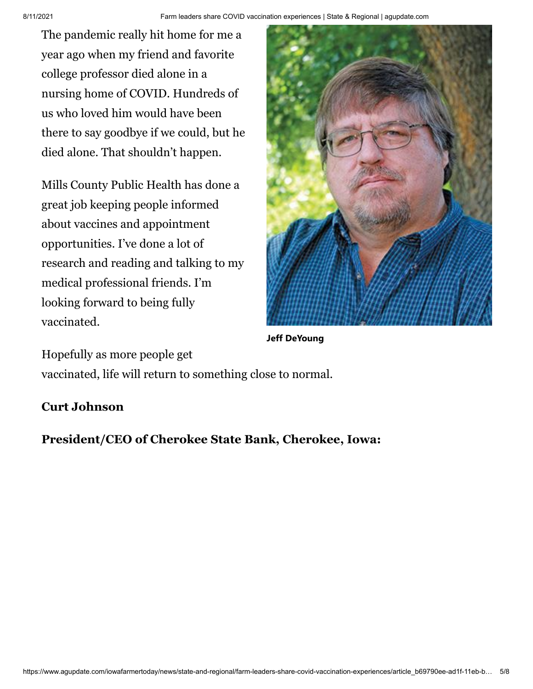The pandemic really hit home for me a year ago when my friend and favorite college professor died alone in a nursing home of COVID. Hundreds of us who loved him would have been there to say goodbye if we could, but he died alone. That shouldn't happen.

Mills County Public Health has done a great job keeping people informed about vaccines and appointment opportunities. I've done a lot of research and reading and talking to my medical professional friends. I'm looking forward to being fully vaccinated.



**Jeff DeYoung**

Hopefully as more people get

vaccinated, life will return to something close to normal.

#### **Curt Johnson**

**President/CEO of Cherokee State Bank, Cherokee, Iowa:**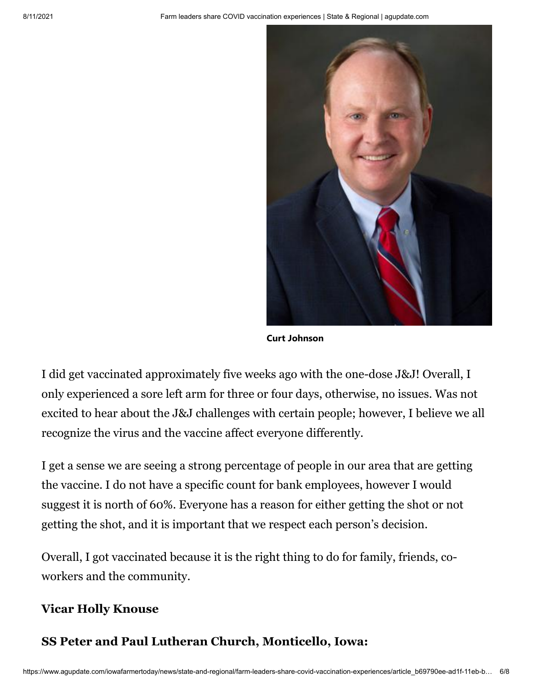

**Curt Johnson**

I did get vaccinated approximately five weeks ago with the one-dose J&J! Overall, I only experienced a sore left arm for three or four days, otherwise, no issues. Was not excited to hear about the J&J challenges with certain people; however, I believe we all recognize the virus and the vaccine affect everyone differently.

I get a sense we are seeing a strong percentage of people in our area that are getting the vaccine. I do not have a specific count for bank employees, however I would suggest it is north of 60%. Everyone has a reason for either getting the shot or not getting the shot, and it is important that we respect each person's decision.

Overall, I got vaccinated because it is the right thing to do for family, friends, coworkers and the community.

#### **Vicar Holly Knouse**

#### **SS Peter and Paul Lutheran Church, Monticello, Iowa:**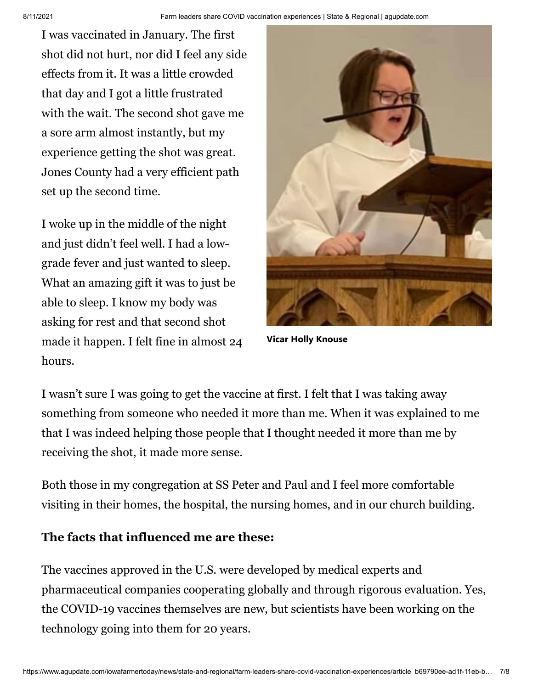I was vaccinated in January. The first shot did not hurt, nor did I feel any side effects from it. It was a little crowded that day and I got a little frustrated with the wait. The second shot gave me a sore arm almost instantly, but my experience getting the shot was great. Jones County had a very efficient path set up the second time.

I woke up in the middle of the night and just didn't feel well. I had a lowgrade fever and just wanted to sleep. What an amazing gift it was to just be able to sleep. I know my body was asking for rest and that second shot made it happen. I felt fine in almost 24 hours.



**Vicar Holly Knouse**

I wasn't sure I was going to get the vaccine at first. I felt that I was taking away something from someone who needed it more than me. When it was explained to me that I was indeed helping those people that I thought needed it more than me by receiving the shot, it made more sense.

Both those in my congregation at SS Peter and Paul and I feel more comfortable visiting in their homes, the hospital, the nursing homes, and in our church building.

#### **The facts that influenced me are these:**

The vaccines approved in the U.S. were developed by medical experts and pharmaceutical companies cooperating globally and through rigorous evaluation. Yes, the COVID-19 vaccines themselves are new, but scientists have been working on the technology going into them for 20 years.